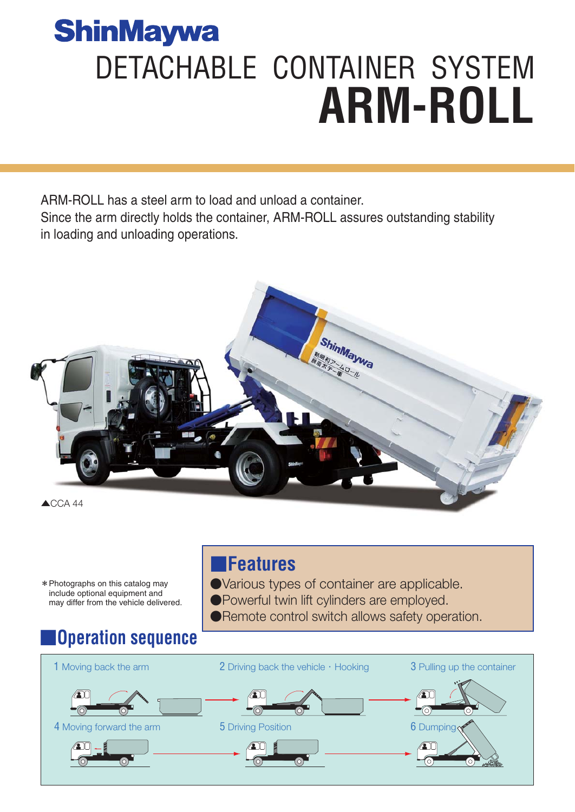# **ShinMaywa** DETACHABLE CONTAINER SYSTEM **ARM-ROLL**

ARM-ROLL has a steel arm to load and unload a container. Since the arm directly holds the container, ARM-ROLL assures outstanding stability in loading and unloading operations.



\*Photographs on this catalog may include optional equipment and may differ from the vehicle delivered.

# ■**Operation sequence**

## ■**Features**

- ●Various types of container are applicable. ●Powerful twin lift cylinders are employed.
- ●Remote control switch allows safety operation.